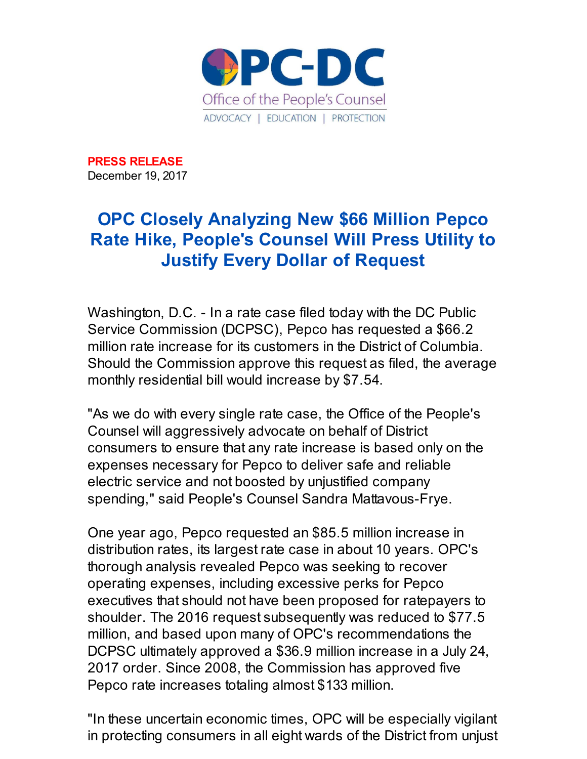

**PRESS RELEASE** December 19, 2017

## **OPC Closely Analyzing New \$66 Million Pepco Rate Hike, People's Counsel Will Press Utility to Justify Every Dollar of Request**

Washington, D.C. - In a rate case filed today with the DC Public Service Commission (DCPSC), Pepco has requested a \$66.2 million rate increase for its customers in the District of Columbia. Should the Commission approve this request as filed, the average monthly residential bill would increase by \$7.54.

"As we do with every single rate case, the Office of the People's Counsel will aggressively advocate on behalf of District consumers to ensure that any rate increase is based only on the expenses necessary for Pepco to deliver safe and reliable electric service and not boosted by unjustified company spending," said People's Counsel Sandra Mattavous-Frye.

One year ago, Pepco requested an \$85.5 million increase in distribution rates, its largest rate case in about 10 years. OPC's thorough analysis revealed Pepco was seeking to recover operating expenses, including excessive perks for Pepco executives that should not have been proposed for ratepayers to shoulder. The 2016 request subsequently was reduced to \$77.5 million, and based upon many of OPC's recommendations the DCPSC ultimately approved a \$36.9 million increase in a July 24, 2017 order. Since 2008, the Commission has approved five Pepco rate increases totaling almost \$133 million.

"In these uncertain economic times, OPC will be especially vigilant in protecting consumers in all eight wards of the District from unjust